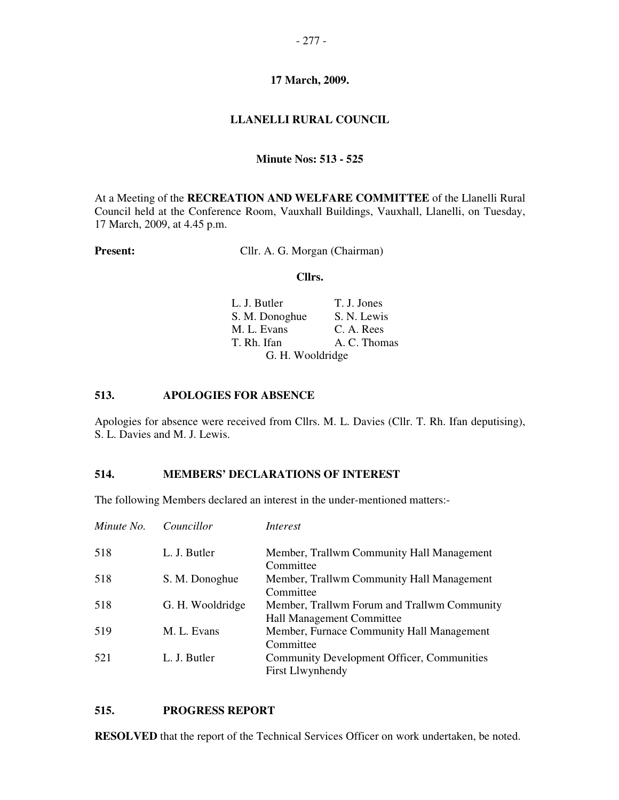# **LLANELLI RURAL COUNCIL**

#### **Minute Nos: 513 - 525**

At a Meeting of the **RECREATION AND WELFARE COMMITTEE** of the Llanelli Rural Council held at the Conference Room, Vauxhall Buildings, Vauxhall, Llanelli, on Tuesday, 17 March, 2009, at 4.45 p.m.

**Present:** Cllr. A. G. Morgan (Chairman)

#### **Cllrs.**

| L. J. Butler     | T. J. Jones  |
|------------------|--------------|
| S. M. Donoghue   | S. N. Lewis  |
| M. L. Evans      | C. A. Rees   |
| T. Rh. Ifan      | A. C. Thomas |
| G. H. Wooldridge |              |

#### **513. APOLOGIES FOR ABSENCE**

Apologies for absence were received from Cllrs. M. L. Davies (Cllr. T. Rh. Ifan deputising), S. L. Davies and M. J. Lewis.

# **514. MEMBERS' DECLARATIONS OF INTEREST**

The following Members declared an interest in the under-mentioned matters:-

| Minute No. | Councillor       | Interest                                                                     |
|------------|------------------|------------------------------------------------------------------------------|
| 518        | L. J. Butler     | Member, Trallwm Community Hall Management<br>Committee                       |
| 518        | S. M. Donoghue   | Member, Trallwm Community Hall Management<br>Committee                       |
| 518        | G. H. Wooldridge | Member, Trallwm Forum and Trallwm Community<br>Hall Management Committee     |
| 519        | M. L. Evans      | Member, Furnace Community Hall Management<br>Committee                       |
| 521        | L. J. Butler     | <b>Community Development Officer, Communities</b><br><b>First Llwynhendy</b> |

#### **515. PROGRESS REPORT**

**RESOLVED** that the report of the Technical Services Officer on work undertaken, be noted.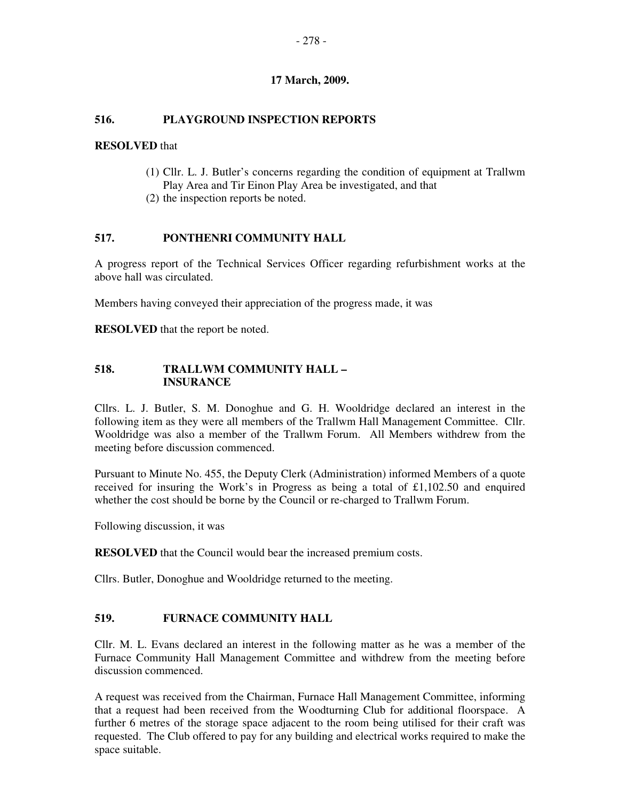# **516. PLAYGROUND INSPECTION REPORTS**

#### **RESOLVED** that

- (1) Cllr. L. J. Butler's concerns regarding the condition of equipment at Trallwm Play Area and Tir Einon Play Area be investigated, and that
- (2) the inspection reports be noted.

#### **517. PONTHENRI COMMUNITY HALL**

A progress report of the Technical Services Officer regarding refurbishment works at the above hall was circulated.

Members having conveyed their appreciation of the progress made, it was

**RESOLVED** that the report be noted.

# **518. TRALLWM COMMUNITY HALL – INSURANCE**

Cllrs. L. J. Butler, S. M. Donoghue and G. H. Wooldridge declared an interest in the following item as they were all members of the Trallwm Hall Management Committee. Cllr. Wooldridge was also a member of the Trallwm Forum. All Members withdrew from the meeting before discussion commenced.

Pursuant to Minute No. 455, the Deputy Clerk (Administration) informed Members of a quote received for insuring the Work's in Progress as being a total of £1,102.50 and enquired whether the cost should be borne by the Council or re-charged to Trallwm Forum.

Following discussion, it was

**RESOLVED** that the Council would bear the increased premium costs.

Cllrs. Butler, Donoghue and Wooldridge returned to the meeting.

# **519. FURNACE COMMUNITY HALL**

Cllr. M. L. Evans declared an interest in the following matter as he was a member of the Furnace Community Hall Management Committee and withdrew from the meeting before discussion commenced.

A request was received from the Chairman, Furnace Hall Management Committee, informing that a request had been received from the Woodturning Club for additional floorspace. A further 6 metres of the storage space adjacent to the room being utilised for their craft was requested. The Club offered to pay for any building and electrical works required to make the space suitable.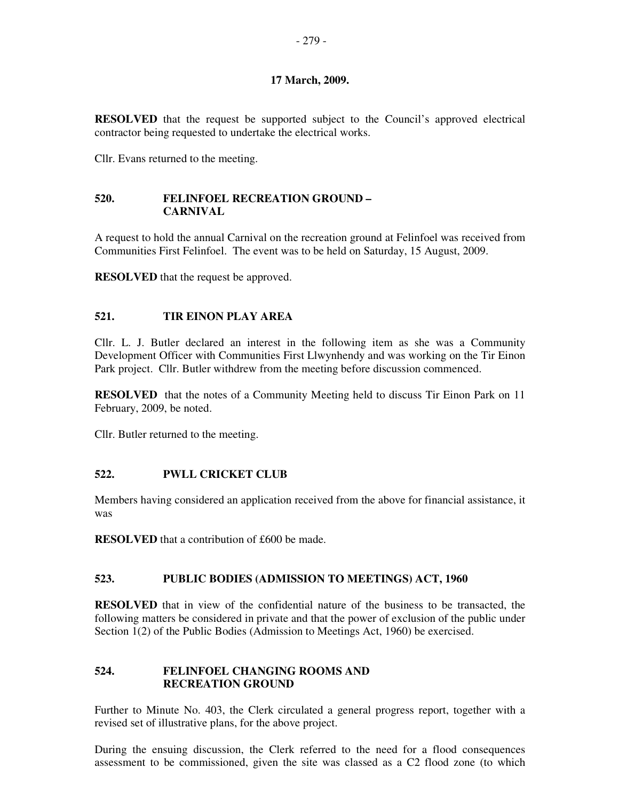**RESOLVED** that the request be supported subject to the Council's approved electrical contractor being requested to undertake the electrical works.

Cllr. Evans returned to the meeting.

# **520. FELINFOEL RECREATION GROUND – CARNIVAL**

A request to hold the annual Carnival on the recreation ground at Felinfoel was received from Communities First Felinfoel. The event was to be held on Saturday, 15 August, 2009.

**RESOLVED** that the request be approved.

# **521. TIR EINON PLAY AREA**

Cllr. L. J. Butler declared an interest in the following item as she was a Community Development Officer with Communities First Llwynhendy and was working on the Tir Einon Park project. Cllr. Butler withdrew from the meeting before discussion commenced.

**RESOLVED** that the notes of a Community Meeting held to discuss Tir Einon Park on 11 February, 2009, be noted.

Cllr. Butler returned to the meeting.

# **522. PWLL CRICKET CLUB**

Members having considered an application received from the above for financial assistance, it was

**RESOLVED** that a contribution of £600 be made.

# **523. PUBLIC BODIES (ADMISSION TO MEETINGS) ACT, 1960**

**RESOLVED** that in view of the confidential nature of the business to be transacted, the following matters be considered in private and that the power of exclusion of the public under Section 1(2) of the Public Bodies (Admission to Meetings Act, 1960) be exercised.

# **524. FELINFOEL CHANGING ROOMS AND RECREATION GROUND**

Further to Minute No. 403, the Clerk circulated a general progress report, together with a revised set of illustrative plans, for the above project.

During the ensuing discussion, the Clerk referred to the need for a flood consequences assessment to be commissioned, given the site was classed as a C2 flood zone (to which